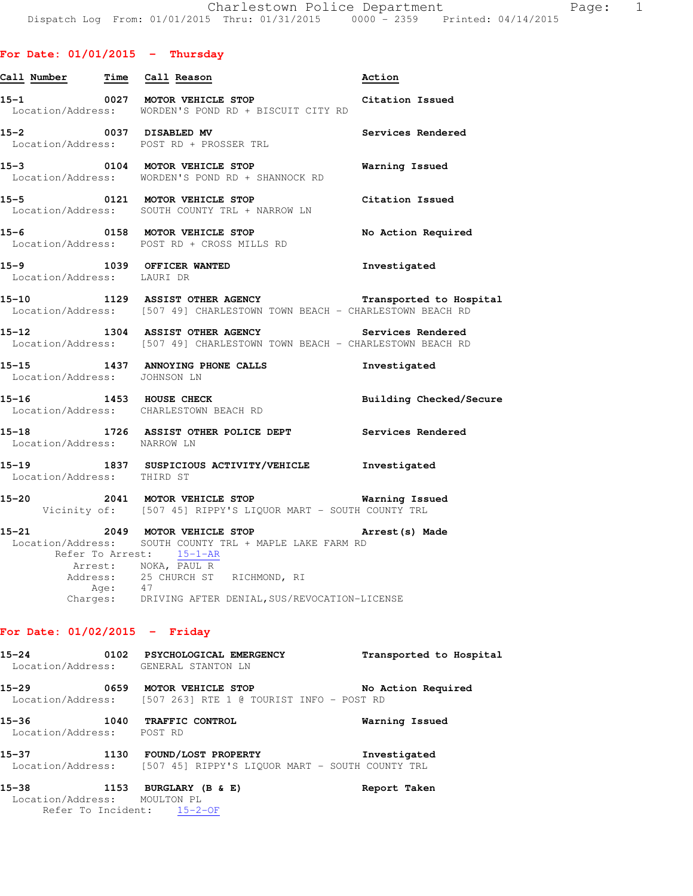#### **For Date: 01/01/2015 - Thursday**

| Call Number Time Call Reason         |                                                                                                                                                                                                                                                        | Action                  |
|--------------------------------------|--------------------------------------------------------------------------------------------------------------------------------------------------------------------------------------------------------------------------------------------------------|-------------------------|
|                                      | $15-1$ 0027 MOTOR VEHICLE STOP<br>Location/Address: WORDEN'S POND RD + BISCUIT CITY RD                                                                                                                                                                 | Citation Issued         |
| 15-2 0037 DISABLED MV                | Location/Address: POST RD + PROSSER TRL                                                                                                                                                                                                                | Services Rendered       |
|                                      | 15-3 0104 MOTOR VEHICLE STOP<br>Location/Address: WORDEN'S POND RD + SHANNOCK RD                                                                                                                                                                       | Warning Issued          |
| $15 - 5$                             | 0121 MOTOR VEHICLE STOP<br>Location/Address: SOUTH COUNTY TRL + NARROW LN                                                                                                                                                                              | Citation Issued         |
| 15-6                                 | 0158 MOTOR VEHICLE STOP<br>Location/Address: POST RD + CROSS MILLS RD                                                                                                                                                                                  | No Action Required      |
| Location/Address: LAURI DR           | 15-9 1039 OFFICER WANTED                                                                                                                                                                                                                               | Investigated            |
|                                      | 15-10 1129 ASSIST OTHER AGENCY Transported to Hospital<br>Location/Address: [507 49] CHARLESTOWN TOWN BEACH - CHARLESTOWN BEACH RD                                                                                                                     |                         |
|                                      | 15-12 1304 ASSIST OTHER AGENCY<br>Location/Address: [507 49] CHARLESTOWN TOWN BEACH - CHARLESTOWN BEACH RD                                                                                                                                             | Services Rendered       |
| Location/Address: JOHNSON LN         | 15-15 1437 ANNOYING PHONE CALLS                                                                                                                                                                                                                        | Investigated            |
| $15 - 16$                            | 1453 HOUSE CHECK<br>Location/Address: CHARLESTOWN BEACH RD                                                                                                                                                                                             | Building Checked/Secure |
| 15-18<br>Location/Address: NARROW LN | 1726 ASSIST OTHER POLICE DEPT Services Rendered                                                                                                                                                                                                        |                         |
|                                      | 15-19 1837 SUSPICIOUS ACTIVITY/VEHICLE Investigated<br>Location/Address: THIRD ST                                                                                                                                                                      |                         |
|                                      | 15-20 			 2041 MOTOR VEHICLE STOP 				 Warning Issued<br>Vicinity of: [507 45] RIPPY'S LIQUOR MART - SOUTH COUNTY TRL                                                                                                                                  |                         |
|                                      | 15-21 2049 MOTOR VEHICLE STOP<br>Location/Address: SOUTH COUNTY TRL + MAPLE LAKE FARM RD<br>Refer To Arrest: 15-1-AR<br>Arrest: NOKA, PAUL R<br>Address: 25 CHURCH ST RICHMOND, RI<br>Age: 47<br>Charges: DRIVING AFTER DENIAL, SUS/REVOCATION-LICENSE | Arrest(s) Made          |
| For Date: $01/02/2015$ - Friday      |                                                                                                                                                                                                                                                        |                         |

**15-24 0102 PSYCHOLOGICAL EMERGENCY Transported to Hospital**  Location/Address: GENERAL STANTON LN **15-29 0659 MOTOR VEHICLE STOP No Action Required**  Location/Address: [507 263] RTE 1 @ TOURIST INFO - POST RD **15-36 1040 TRAFFIC CONTROL Warning Issued**  Location/Address: POST RD **15-37 1130 FOUND/LOST PROPERTY Investigated**  Location/Address: [507 45] RIPPY'S LIQUOR MART - SOUTH COUNTY TRL

**15-38 1153 BURGLARY (B & E) Report Taken**  Location/Address: MOULTON PL Refer To Incident: 15-2-OF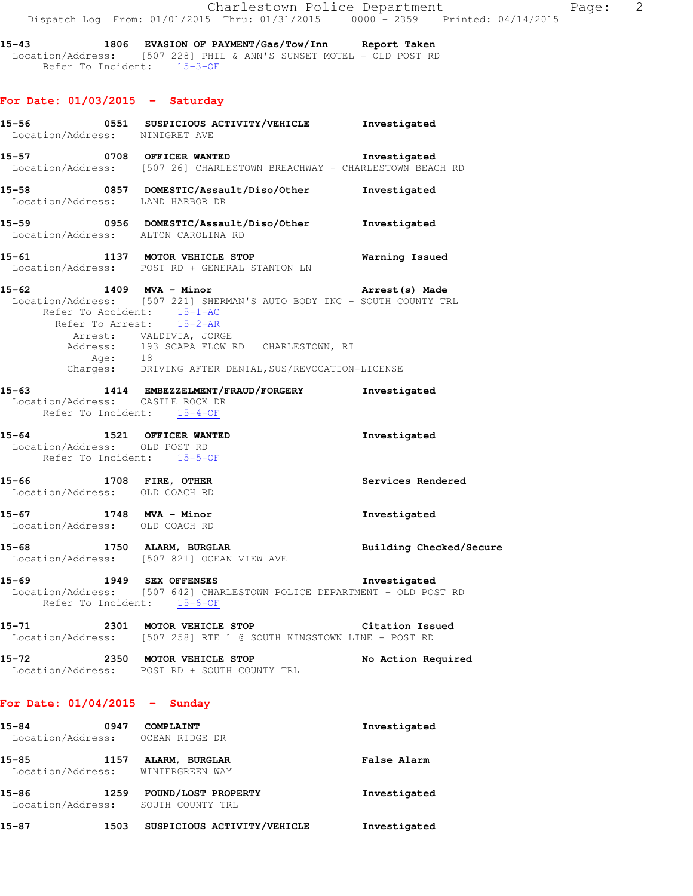**15-43 1806 EVASION OF PAYMENT/Gas/Tow/Inn Report Taken**  Location/Address: [507 228] PHIL & ANN'S SUNSET MOTEL - OLD POST RD Refer To Incident: 15-3-OF

## **For Date: 01/03/2015 - Saturday**

|                                                                                          | 15-56 0551 SUSPICIOUS ACTIVITY/VEHICLE Investigated<br>Location/Address: NINIGRET AVE                                                                                                                                                                               |                         |
|------------------------------------------------------------------------------------------|---------------------------------------------------------------------------------------------------------------------------------------------------------------------------------------------------------------------------------------------------------------------|-------------------------|
|                                                                                          | 15-57 0708 OFFICER WANTED Investigated<br>Location/Address: [507 26] CHARLESTOWN BREACHWAY - CHARLESTOWN BEACH RD                                                                                                                                                   |                         |
|                                                                                          | 15-58 0857 DOMESTIC/Assault/Diso/Other Investigated<br>Location/Address: LAND HARBOR DR                                                                                                                                                                             |                         |
|                                                                                          | 15-59 0956 DOMESTIC/Assault/Diso/Other Investigated<br>Location/Address: ALTON CAROLINA RD                                                                                                                                                                          |                         |
|                                                                                          | 15-61 1137 MOTOR VEHICLE STOP 6 Warning Issued<br>Location/Address: POST RD + GENERAL STANTON LN                                                                                                                                                                    |                         |
| Refer To Accident: $\frac{15-1-AC}{15-2-AR}$                                             | 15-62 1409 MVA - Minor 15-62 arrest (s) Made<br>Location/Address: [507 221] SHERMAN'S AUTO BODY INC - SOUTH COUNTY TRL<br>Arrest: VALDIVIA, JORGE<br>Address: 193 SCAPA FLOW RD CHARLESTOWN, RI<br>Age: 18<br>Charges: DRIVING AFTER DENIAL, SUS/REVOCATION-LICENSE |                         |
| Location/Address: CASTLE ROCK DR<br>Refer To Incident: 15-4-OF                           | 15-63 1414 EMBEZZELMENT/FRAUD/FORGERY Investigated                                                                                                                                                                                                                  |                         |
| 15-64 1521 OFFICER WANTED<br>Location/Address: OLD POST RD<br>Refer To Incident: 15-5-OF |                                                                                                                                                                                                                                                                     | Investigated            |
| 15-66 1708 FIRE, OTHER<br>Location/Address: OLD COACH RD                                 |                                                                                                                                                                                                                                                                     | Services Rendered       |
| 15-67 1748 MVA - Minor<br>Location/Address: OLD COACH RD                                 |                                                                                                                                                                                                                                                                     | Investigated            |
|                                                                                          | 15-68 1750 ALARM, BURGLAR<br>Location/Address: [507 821] OCEAN VIEW AVE                                                                                                                                                                                             | Building Checked/Secure |
| Refer To Incident: 15-6-OF                                                               | 15-69 1949 SEX OFFENSES<br>Location/Address: [507 642] CHARLESTOWN POLICE DEPARTMENT - OLD POST RD                                                                                                                                                                  | Investigated            |
| 15-71                                                                                    | 2301 MOTOR VEHICLE STOP<br>Location/Address: [507 258] RTE 1 @ SOUTH KINGSTOWN LINE - POST RD                                                                                                                                                                       | <b>Citation Issued</b>  |
| 15-72 2350 MOTOR VEHICLE STOP                                                            | Location/Address: POST RD + SOUTH COUNTY TRL                                                                                                                                                                                                                        | No Action Required      |
| For Date: $01/04/2015$ - Sunday                                                          |                                                                                                                                                                                                                                                                     |                         |

| 15-84<br>Location/Address: | 0947 | COMPLAINT<br>OCEAN RIDGE DR             | Investigated       |
|----------------------------|------|-----------------------------------------|--------------------|
| 15-85<br>Location/Address: | 1157 | ALARM, BURGLAR<br>WINTERGREEN WAY       | <b>False Alarm</b> |
| 15-86<br>Location/Address: | 1259 | FOUND/LOST PROPERTY<br>SOUTH COUNTY TRL | Investigated       |
|                            |      |                                         |                    |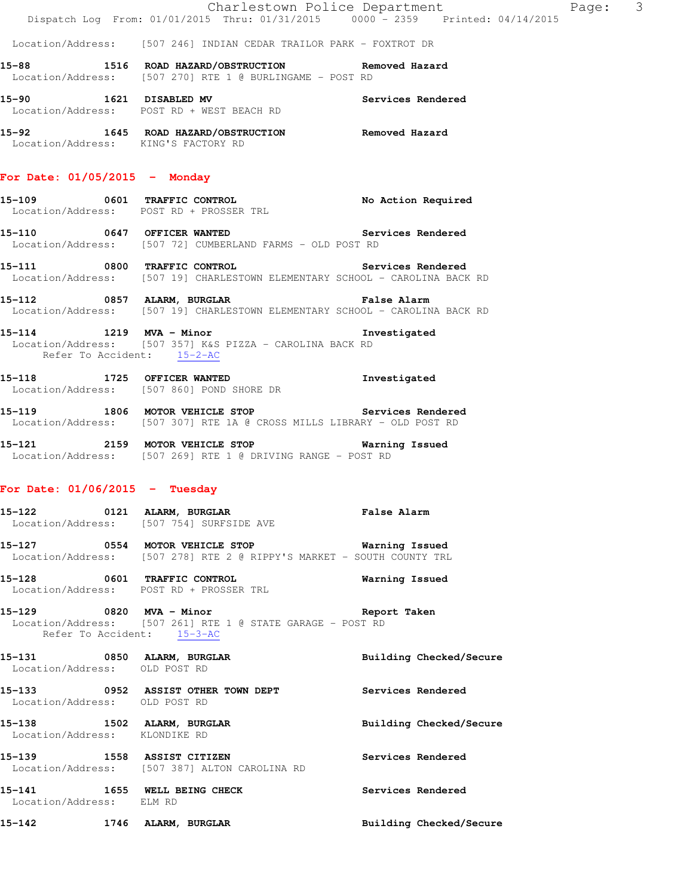|               | Charlestown Police Department                                                       |                                                                                | Page: | -3 |
|---------------|-------------------------------------------------------------------------------------|--------------------------------------------------------------------------------|-------|----|
|               |                                                                                     | Dispatch Log From: 01/01/2015 Thru: 01/31/2015 0000 - 2359 Printed: 04/14/2015 |       |    |
|               | Location/Address: [507 246] INDIAN CEDAR TRAILOR PARK - FOXTROT DR                  |                                                                                |       |    |
| 15-88<br>1516 | ROAD HAZARD/OBSTRUCTION<br>Location/Address: [507 270] RTE 1 @ BURLINGAME - POST RD | Removed Hazard                                                                 |       |    |
| 15–90<br>1621 | DISABLED MV<br>Location/Address: POST RD + WEST BEACH RD                            | Services Rendered                                                              |       |    |

**15-92 1645 ROAD HAZARD/OBSTRUCTION Removed Hazard**  Location/Address: KING'S FACTORY RD

#### **For Date: 01/05/2015 - Monday**

**15-109 0601 TRAFFIC CONTROL No Action Required**  Location/Address: POST RD + PROSSER TRL

- **15-110 0647 OFFICER WANTED Services Rendered**  Location/Address: [507 72] CUMBERLAND FARMS - OLD POST RD
- **15-111 0800 TRAFFIC CONTROL Services Rendered**  Location/Address: [507 19] CHARLESTOWN ELEMENTARY SCHOOL - CAROLINA BACK RD
- **15-112 0857 ALARM, BURGLAR False Alarm**  Location/Address: [507 19] CHARLESTOWN ELEMENTARY SCHOOL - CAROLINA BACK RD
- **15-114 1219 MVA Minor Investigated**  Location/Address: [507 357] K&S PIZZA - CAROLINA BACK RD Refer To Accident: 15-2-AC

**15-118 1725 OFFICER WANTED Investigated**  Location/Address: [507 860] POND SHORE DR

- **15-119 1806 MOTOR VEHICLE STOP Services Rendered**  Location/Address: [507 307] RTE 1A @ CROSS MILLS LIBRARY - OLD POST RD
- **15-121 2159 MOTOR VEHICLE STOP Warning Issued**  Location/Address: [507 269] RTE 1 @ DRIVING RANGE - POST RD

#### **For Date: 01/06/2015 - Tuesday**

- **15-122 0121 ALARM, BURGLAR False Alarm**  Location/Address: [507 754] SURFSIDE AVE
- **15-127 0554 MOTOR VEHICLE STOP Warning Issued**  Location/Address: [507 278] RTE 2 @ RIPPY'S MARKET - SOUTH COUNTY TRL
- **15-128 0601 TRAFFIC CONTROL Warning Issued**  Location/Address: POST RD + PROSSER TRL
- **15-129 0820 MVA Minor Report Taken**  Location/Address: [507 261] RTE 1 @ STATE GARAGE - POST RD Refer To Accident: 15-3-AC
- **15-131 0850 ALARM, BURGLAR Building Checked/Secure**  Location/Address: OLD POST RD **15-133 0952 ASSIST OTHER TOWN DEPT Services Rendered**  Location/Address: OLD POST RD **15-138 1502 ALARM, BURGLAR Building Checked/Secure**
- Location/Address: KLONDIKE RD
- **15-139 1558 ASSIST CITIZEN Services Rendered**  Location/Address: [507 387] ALTON CAROLINA RD
- 15-141 1655 WELL BEING CHECK **Services Rendered** Location/Address: ELM RD
- **15-142 1746 ALARM, BURGLAR Building Checked/Secure**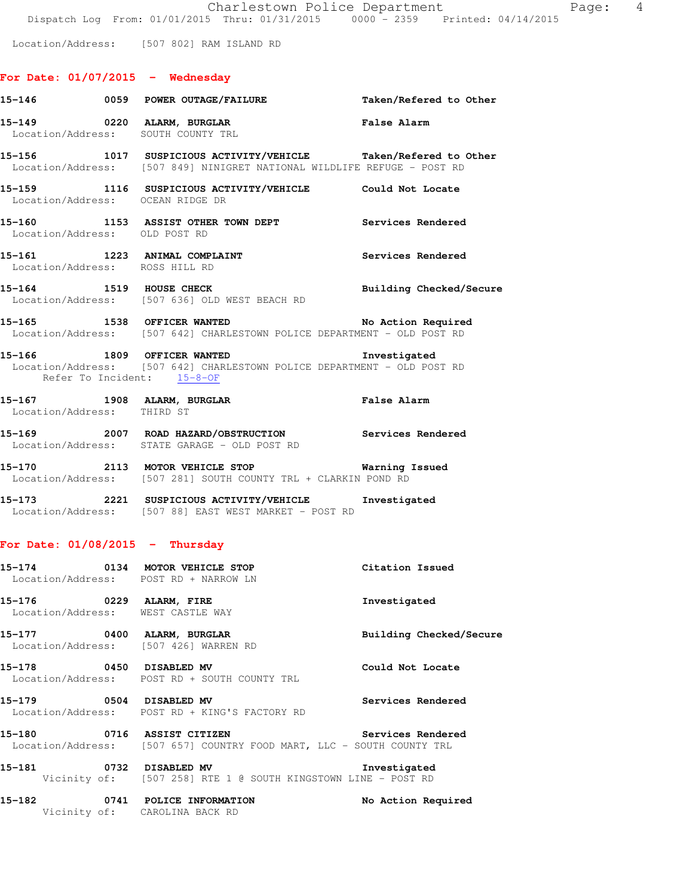Location/Address: [507 802] RAM ISLAND RD

# **For Date: 01/07/2015 - Wednesday**

|                                   | 15-146 		 0059 POWER OUTAGE/FAILURE 		 Taken/Refered to Other                                                                             |                         |
|-----------------------------------|-------------------------------------------------------------------------------------------------------------------------------------------|-------------------------|
|                                   | False Alarm<br>15-149 0220 ALARM, BURGLAR<br>Location/Address: SOUTH COUNTY TRL                                                           |                         |
|                                   | 15-156 1017 SUSPICIOUS ACTIVITY/VEHICLE Taken/Refered to Other<br>Location/Address: [507 849] NINIGRET NATIONAL WILDLIFE REFUGE - POST RD |                         |
|                                   | 15-159 1116 SUSPICIOUS ACTIVITY/VEHICLE Could Not Locate<br>Location/Address: OCEAN RIDGE DR                                              |                         |
| Location/Address: OLD POST RD     | 15-160 1153 ASSIST OTHER TOWN DEPT Services Rendered                                                                                      |                         |
| Location/Address: ROSS HILL RD    | 15-161 1223 ANIMAL COMPLAINT                                                                                                              | Services Rendered       |
|                                   | 15-164 1519 HOUSE CHECK 2008 2011 Building Checked/Secure<br>Location/Address: [507 636] OLD WEST BEACH RD                                |                         |
|                                   | 15-165 1538 OFFICER WANTED<br>Location/Address: [507 642] CHARLESTOWN POLICE DEPARTMENT - OLD POST RD                                     | No Action Required      |
| Refer To Incident: 15-8-OF        | 15-166 1809 OFFICER WANTED 15-166<br>Location/Address: [507 642] CHARLESTOWN POLICE DEPARTMENT - OLD POST RD                              |                         |
|                                   | 15-167 1908 ALARM, BURGLAR <b>Example 2018</b> False Alarm<br>Location/Address: THIRD ST                                                  |                         |
|                                   | 15-169  2007  ROAD HAZARD/OBSTRUCTION  Services Rendered<br>Location/Address:  STATE GARAGE - OLD POST RD                                 |                         |
|                                   | 15-170 2113 MOTOR VEHICLE STOP <b>Warning Issued</b><br>Location/Address: [507 281] SOUTH COUNTY TRL + CLARKIN POND RD                    |                         |
|                                   | 15-173 2221 SUSPICIOUS ACTIVITY/VEHICLE Investigated<br>Location/Address: [507 88] EAST WEST MARKET - POST RD                             |                         |
| For Date: $01/08/2015$ - Thursday |                                                                                                                                           |                         |
|                                   | 15-174 0134 MOTOR VEHICLE STOP Citation Issued<br>Location/Address: POST RD + NARROW LN                                                   |                         |
| Location/Address: WEST CASTLE WAY | 15-176 0229 ALARM, FIRE                                                                                                                   | Investigated            |
|                                   | 15-177 0400 ALARM, BURGLAR<br>Location/Address: [507 426] WARREN RD                                                                       | Building Checked/Secure |
| 15-178 0450 DISABLED MV           | Location/Address: POST RD + SOUTH COUNTY TRL                                                                                              | Could Not Locate        |
| 15-179 0504 DISABLED MV           | Location/Address: POST RD + KING'S FACTORY RD                                                                                             | Services Rendered       |
| 15-180 0716 ASSIST CITIZEN        | Location/Address: [507 657] COUNTRY FOOD MART, LLC - SOUTH COUNTY TRL                                                                     | Services Rendered       |
|                                   | 15-181 <b>0732 DISABLED MV</b> Investigated<br>Vicinity of: [507 258] RTE 1 @ SOUTH KINGSTOWN LINE - POST RD                              | Investigated            |
| 15-182                            | 0741 POLICE INFORMATION<br>Vicinity of: CAROLINA BACK RD                                                                                  | No Action Required      |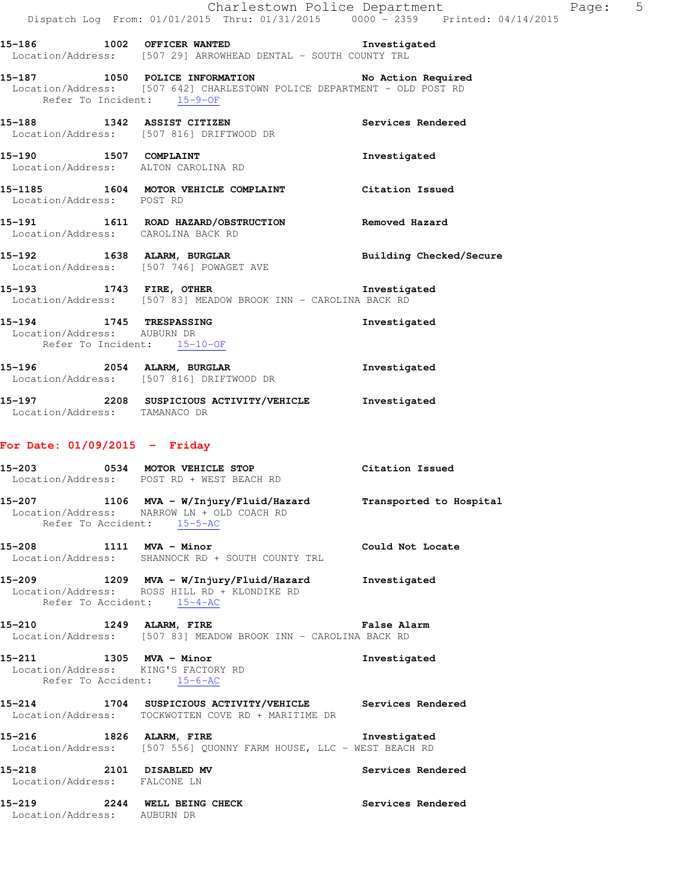**15-186 1002 OFFICER WANTED Investigated**  Location/Address: [507 29] ARROWHEAD DENTAL - SOUTH COUNTY TRL

#### **15-187 1050 POLICE INFORMATION No Action Required**  Location/Address: [507 642] CHARLESTOWN POLICE DEPARTMENT - OLD POST RD Refer To Incident: 15-9-OF

**15-188 1342 ASSIST CITIZEN Services Rendered**  Location/Address: [507 816] DRIFTWOOD DR

15-190 1507 COMPLAINT **15-190** Investigated Location/Address: ALTON CAROLINA RD

**15-1185 1604 MOTOR VEHICLE COMPLAINT Citation Issued**  Location/Address: POST RD

## **15-191 1611 ROAD HAZARD/OBSTRUCTION Removed Hazard**  Location/Address: CAROLINA BACK RD

- **15-192 1638 ALARM, BURGLAR Building Checked/Secure**  Location/Address: [507 746] POWAGET AVE
- **15-193 1743 FIRE, OTHER Investigated**  Location/Address: [507 83] MEADOW BROOK INN - CAROLINA BACK RD

**15-194 1745 TRESPASSING Investigated**  Location/Address: AUBURN DR Refer To Incident: 15-10-OF

- **15-196 2054 ALARM, BURGLAR Investigated**  Location/Address: [507 816] DRIFTWOOD DR
- **15-197 2208 SUSPICIOUS ACTIVITY/VEHICLE Investigated**  Location/Address: TAMANACO DR

# **For Date: 01/09/2015 - Friday**

- **15-203 0534 MOTOR VEHICLE STOP Citation Issued**  Location/Address: POST RD + WEST BEACH RD **15-207 1106 MVA - W/Injury/Fluid/Hazard Transported to Hospital**  Location/Address: NARROW LN + OLD COACH RD Refer To Accident: 15-5-AC **15-208 1111 MVA - Minor Could Not Locate**  Location/Address: SHANNOCK RD + SOUTH COUNTY TRL **15-209 1209 MVA - W/Injury/Fluid/Hazard Investigated**  Location/Address: ROSS HILL RD + KLONDIKE RD Refer To Accident: 15-4-AC
- **15-210 1249 ALARM, FIRE False Alarm**  Location/Address: [507 83] MEADOW BROOK INN - CAROLINA BACK RD

**15-211 1305 MVA - Minor Investigated**  Location/Address: KING'S FACTORY RD Refer To Accident: 15-6-AC

# **15-214 1704 SUSPICIOUS ACTIVITY/VEHICLE Services Rendered**  Location/Address: TOCKWOTTEN COVE RD + MARITIME DR

**15-216 1826 ALARM, FIRE Investigated**  Location/Address: [507 556] QUONNY FARM HOUSE, LLC - WEST BEACH RD

**15-218 2101 DISABLED MV Services Rendered**  Location/Address: FALCONE LN

**15-219 2244 WELL BEING CHECK Services Rendered**  Location/Address: AUBURN DR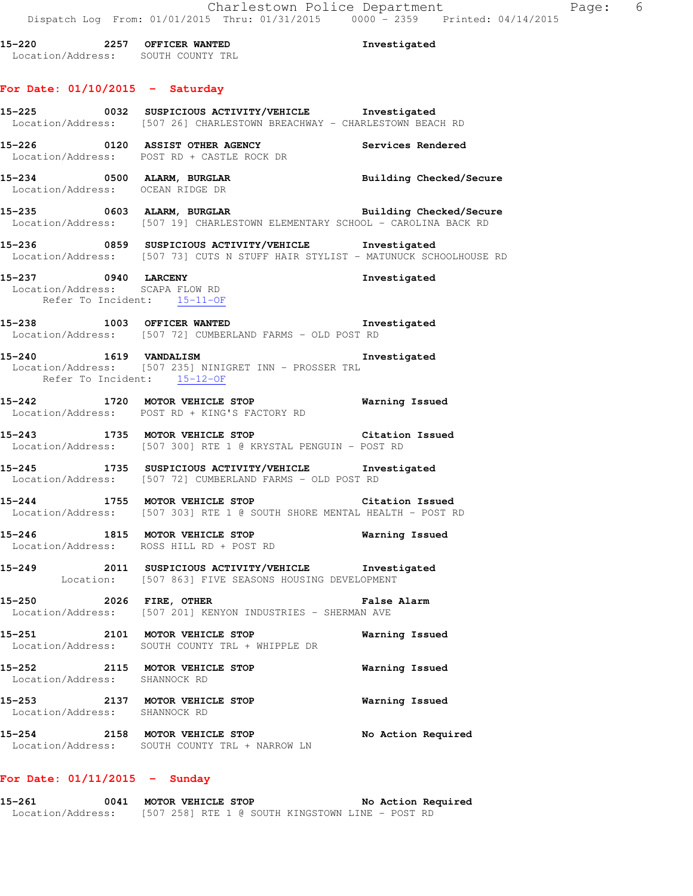**15-220 2257 OFFICER WANTED Investigated**  Location/Address: SOUTH COUNTY TRL **For Date: 01/10/2015 - Saturday 15-225 0032 SUSPICIOUS ACTIVITY/VEHICLE Investigated**  Location/Address: [507 26] CHARLESTOWN BREACHWAY - CHARLESTOWN BEACH RD **15-226 0120 ASSIST OTHER AGENCY Services Rendered**  Location/Address: POST RD + CASTLE ROCK DR **15-234 0500 ALARM, BURGLAR Building Checked/Secure**  Location/Address: OCEAN RIDGE DR **15-235 0603 ALARM, BURGLAR Building Checked/Secure**  Location/Address: [507 19] CHARLESTOWN ELEMENTARY SCHOOL - CAROLINA BACK RD **15-236 0859 SUSPICIOUS ACTIVITY/VEHICLE Investigated**  Location/Address: [507 73] CUTS N STUFF HAIR STYLIST - MATUNUCK SCHOOLHOUSE RD **15-237 0940 LARCENY Investigated**  Location/Address: SCAPA FLOW RD Refer To Incident: 15-11-OF **15-238 1003 OFFICER WANTED Investigated**  Location/Address: [507 72] CUMBERLAND FARMS - OLD POST RD **15-240 1619 VANDALISM Investigated**  Location/Address: [507 235] NINIGRET INN - PROSSER TRL Refer To Incident: 15-12-OF **15-242 1720 MOTOR VEHICLE STOP Warning Issued**  Location/Address: POST RD + KING'S FACTORY RD **15-243 1735 MOTOR VEHICLE STOP Citation Issued**  Location/Address: [507 300] RTE 1 @ KRYSTAL PENGUIN - POST RD **15-245 1735 SUSPICIOUS ACTIVITY/VEHICLE Investigated**  Location/Address: [507 72] CUMBERLAND FARMS - OLD POST RD **15-244 1755 MOTOR VEHICLE STOP Citation Issued**  Location/Address: [507 303] RTE 1 @ SOUTH SHORE MENTAL HEALTH - POST RD **15-246 1815 MOTOR VEHICLE STOP Warning Issued**  Location/Address: ROSS HILL RD + POST RD **15-249 2011 SUSPICIOUS ACTIVITY/VEHICLE Investigated**  Location: [507 863] FIVE SEASONS HOUSING DEVELOPMENT **15-250 2026 FIRE, OTHER False Alarm**  Location/Address: [507 201] KENYON INDUSTRIES - SHERMAN AVE **15-251 2101 MOTOR VEHICLE STOP Warning Issued**  Location/Address: SOUTH COUNTY TRL + WHIPPLE DR **15-252 2115 MOTOR VEHICLE STOP Warning Issued**  Location/Address: SHANNOCK RD **15-253 2137 MOTOR VEHICLE STOP Warning Issued**  Location/Address: SHANNOCK RD **15-254 2158 MOTOR VEHICLE STOP No Action Required**  Location/Address: SOUTH COUNTY TRL + NARROW LN

#### **For Date: 01/11/2015 - Sunday**

**15-261 0041 MOTOR VEHICLE STOP No Action Required**  Location/Address: [507 258] RTE 1 @ SOUTH KINGSTOWN LINE - POST RD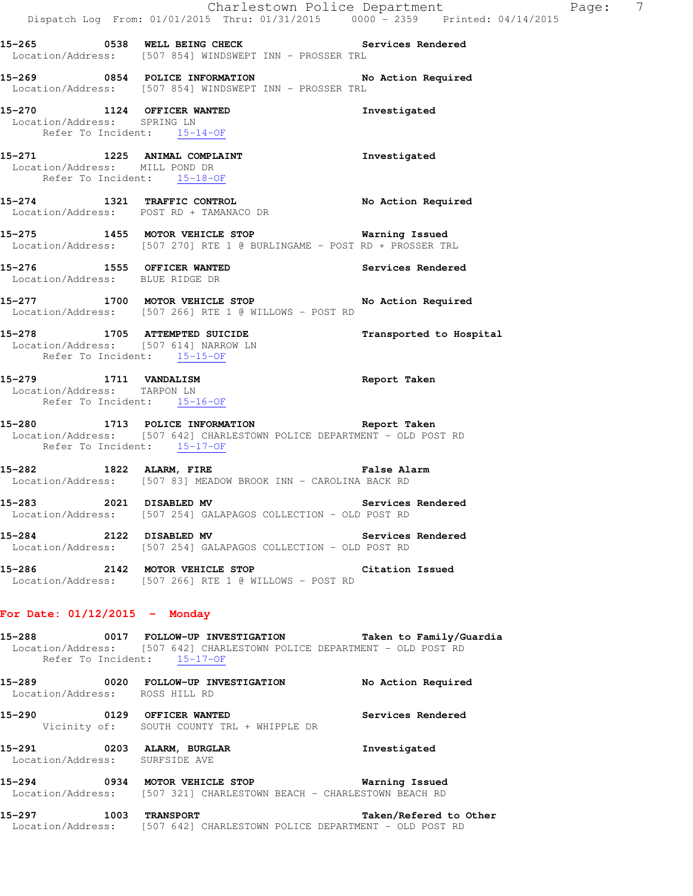|                                                                                     | Dispatch Log From: 01/01/2015 Thru: 01/31/2015 0000 - 2359 Printed: 04/14/2015                                                                                           | Charlestown Police Department | Page: | $\overline{7}$ |
|-------------------------------------------------------------------------------------|--------------------------------------------------------------------------------------------------------------------------------------------------------------------------|-------------------------------|-------|----------------|
|                                                                                     | 15-265 		 0538 WELL BEING CHECK 		 Services Rendered<br>Location/Address: [507 854] WINDSWEPT INN - PROSSER TRL                                                          |                               |       |                |
|                                                                                     | 15-269 0854 POLICE INFORMATION No Action Required<br>Location/Address: [507 854] WINDSWEPT INN - PROSSER TRL                                                             |                               |       |                |
| 15-270 1124 OFFICER WANTED<br>Location/Address: SPRING LN                           | Refer To Incident: 15-14-OF                                                                                                                                              | Investigated                  |       |                |
| Location/Address: MILL POND DR<br>Refer To Incident: 15-18-OF                       | 15-271 1225 ANIMAL COMPLAINT                                                                                                                                             | Investigated                  |       |                |
|                                                                                     | 15-274 1321 TRAFFIC CONTROL<br>Location/Address: POST RD + TAMANACO DR                                                                                                   | No Action Required            |       |                |
|                                                                                     | 15-275 1455 MOTOR VEHICLE STOP 5 Warning Issued<br>Location/Address: [507 270] RTE 1 @ BURLINGAME - POST RD + PROSSER TRL                                                |                               |       |                |
| Location/Address: BLUE RIDGE DR                                                     | 15-276 1555 OFFICER WANTED                                                                                                                                               | Services Rendered             |       |                |
|                                                                                     | 15-277 1700 MOTOR VEHICLE STOP<br>Location/Address: [507 266] RTE 1 @ WILLOWS - POST RD                                                                                  | No Action Required            |       |                |
| Refer To Incident: 15-15-OF                                                         | 15-278 1705 ATTEMPTED SUICIDE<br>Location/Address: [507 614] NARROW LN                                                                                                   | Transported to Hospital       |       |                |
| 15-279 1711 VANDALISM<br>Location/Address: TARPON LN<br>Refer To Incident: 15-16-OF |                                                                                                                                                                          | Report Taken                  |       |                |
| Refer To Incident: 15-17-OF                                                         | -<br>15-280 1713 POLICE INFORMATION Report Taken<br>Location/Address: [507 642] CHARLESTOWN POLICE DEPARTMENT - OLD POST RD                                              |                               |       |                |
| 15-282 1822 ALARM, FIRE                                                             | False Alarm<br>Location/Address: [507 83] MEADOW BROOK INN - CAROLINA BACK RD                                                                                            |                               |       |                |
| $15 - 283$                                                                          | 2021 DISABLED MV<br>Location/Address: [507 254] GALAPAGOS COLLECTION - OLD POST RD                                                                                       | Services Rendered             |       |                |
| 15-284 2122 DISABLED MV                                                             | Location/Address: [507 254] GALAPAGOS COLLECTION - OLD POST RD                                                                                                           | Services Rendered             |       |                |
|                                                                                     | 15-286 2142 MOTOR VEHICLE STOP Citation Issued<br>Location/Address: [507 266] RTE 1 @ WILLOWS - POST RD                                                                  |                               |       |                |
| For Date: $01/12/2015$ - Monday                                                     |                                                                                                                                                                          |                               |       |                |
|                                                                                     | 15-288 		 0017 FOLLOW-UP INVESTIGATION Taken to Family/Guardia<br>Location/Address: [507 642] CHARLESTOWN POLICE DEPARTMENT - OLD POST RD<br>Refer To Incident: 15-17-OF |                               |       |                |
| Location/Address: ROSS HILL RD                                                      | 15-289 0020 FOLLOW-UP INVESTIGATION                                                                                                                                      | No Action Required            |       |                |
| 15-290 0129 OFFICER WANTED                                                          | Vicinity of: SOUTH COUNTY TRL + WHIPPLE DR                                                                                                                               | Services Rendered             |       |                |
| 15–291<br>Location/Address: SURFSIDE AVE                                            | 0203 ALARM, BURGLAR                                                                                                                                                      | Investigated                  |       |                |
|                                                                                     |                                                                                                                                                                          |                               |       |                |

**15-294 0934 MOTOR VEHICLE STOP Warning Issued**  Location/Address: [507 321] CHARLESTOWN BEACH - CHARLESTOWN BEACH RD

**15-297 1003 TRANSPORT Taken/Refered to Other**  Location/Address: [507 642] CHARLESTOWN POLICE DEPARTMENT - OLD POST RD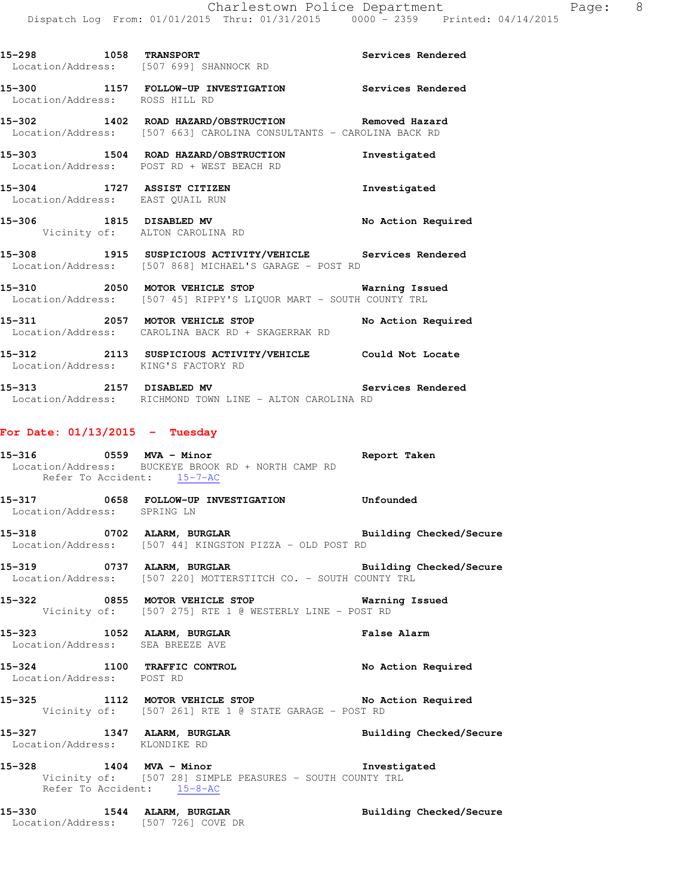| 15-298 1058 TRANSPORT                                          | Location/Address: [507 699] SHANNOCK RD                                                                                   | Services Rendered  |
|----------------------------------------------------------------|---------------------------------------------------------------------------------------------------------------------------|--------------------|
| Location/Address: ROSS HILL RD                                 | 15-300 1157 FOLLOW-UP INVESTIGATION Services Rendered                                                                     |                    |
|                                                                | 15-302 1402 ROAD HAZARD/OBSTRUCTION Removed Hazard<br>Location/Address: [507 663] CAROLINA CONSULTANTS - CAROLINA BACK RD |                    |
|                                                                | 15-303 1504 ROAD HAZARD/OBSTRUCTION Threstigated<br>Location/Address: POST RD + WEST BEACH RD                             |                    |
| 15-304 1727 ASSIST CITIZEN<br>Location/Address: EAST QUAIL RUN |                                                                                                                           | Investigated       |
| 15-306 1815 DISABLED MV<br>Vicinity of: ALTON CAROLINA RD      |                                                                                                                           | No Action Required |
|                                                                | 15-308 1915 SUSPICIOUS ACTIVITY/VEHICLE Services Rendered<br>Location/Address: [507 868] MICHAEL'S GARAGE - POST RD       |                    |
|                                                                | Location/Address: [507 45] RIPPY'S LIOUOR MART - SOUTH COUNTY TRL                                                         |                    |
|                                                                | 15-311 2057 MOTOR VEHICLE STOP<br>Location/Address: CAROLINA BACK RD + SKAGERRAK RD                                       | No Action Required |
| Location/Address: KING'S FACTORY RD                            | 15-312 2113 SUSPICIOUS ACTIVITY/VEHICLE Could Not Locate                                                                  |                    |

**15-313 2157 DISABLED MV Services Rendered**  Location/Address: RICHMOND TOWN LINE - ALTON CAROLINA RD

#### **For Date: 01/13/2015 - Tuesday**

- **15-316 0559 MVA Minor Report Taken**  Location/Address: BUCKEYE BROOK RD + NORTH CAMP RD Refer To Accident: 15-7-AC
- **15-317 0658 FOLLOW-UP INVESTIGATION Unfounded**  Location/Address: SPRING LN
- **15-318 0702 ALARM, BURGLAR Building Checked/Secure**  Location/Address: [507 44] KINGSTON PIZZA - OLD POST RD
- **15-319 0737 ALARM, BURGLAR Building Checked/Secure**  Location/Address: [507 220] MOTTERSTITCH CO. - SOUTH COUNTY TRL
- **15-322 0855 MOTOR VEHICLE STOP Warning Issued**  Vicinity of: [507 275] RTE 1 @ WESTERLY LINE - POST RD
- **15-323 1052 ALARM, BURGLAR False Alarm**  Location/Address: SEA BREEZE AVE
- **15-324 1100 TRAFFIC CONTROL No Action Required**  Location/Address: POST RD
- 15-325 1112 MOTOR VEHICLE STOP No Action Required Vicinity of: [507 261] RTE 1 @ STATE GARAGE - POST RD
- **15-327 1347 ALARM, BURGLAR Building Checked/Secure**  Location/Address: KLONDIKE RD
- **15-328 1404 MVA Minor Investigated**  Vicinity of: [507 28] SIMPLE PEASURES - SOUTH COUNTY TRL Refer To Accident: 15-8-AC
- **15-330 1544 ALARM, BURGLAR Building Checked/Secure**  Location/Address: [507 726] COVE DR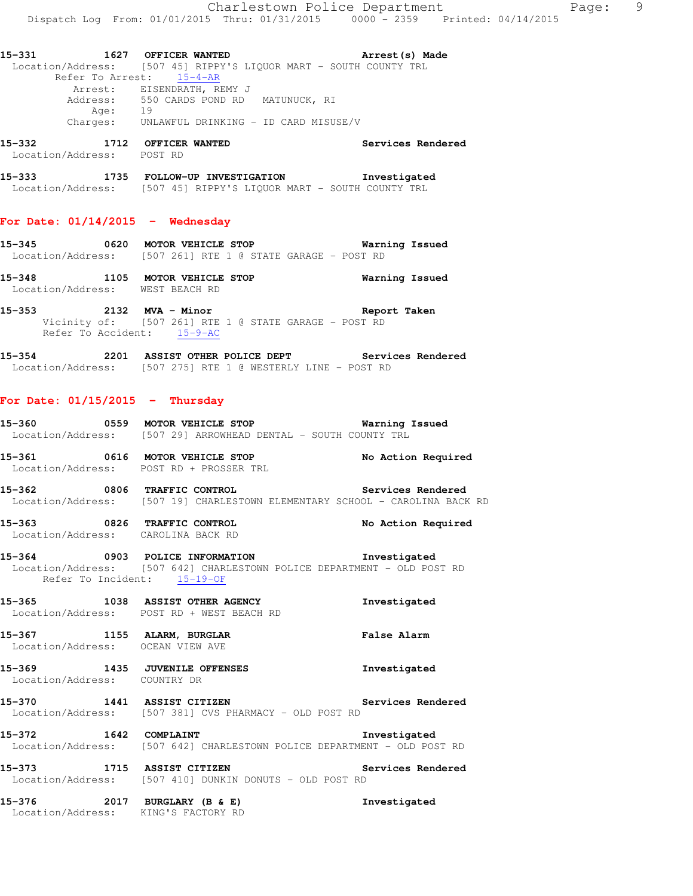**15-332 1712 OFFICER WANTED Services Rendered**  Location/Address: POST RD

**15-333 1735 FOLLOW-UP INVESTIGATION Investigated**  Location/Address: [507 45] RIPPY'S LIQUOR MART - SOUTH COUNTY TRL

#### **For Date: 01/14/2015 - Wednesday**

- **15-345 0620 MOTOR VEHICLE STOP Warning Issued**  Location/Address: [507 261] RTE 1 @ STATE GARAGE - POST RD
- **15-348 1105 MOTOR VEHICLE STOP Warning Issued**  Location/Address: WEST BEACH RD
- **15-353 2132 MVA Minor Report Taken**  Vicinity of: [507 261] RTE 1 @ STATE GARAGE - POST RD Refer To Accident: 15-9-AC
- **15-354 2201 ASSIST OTHER POLICE DEPT Services Rendered**  Location/Address: [507 275] RTE 1 @ WESTERLY LINE - POST RD

# **For Date: 01/15/2015 - Thursday**

- **15-360 0559 MOTOR VEHICLE STOP Warning Issued**  Location/Address: [507 29] ARROWHEAD DENTAL - SOUTH COUNTY TRL
- **15-361 0616 MOTOR VEHICLE STOP No Action Required**  Location/Address: POST RD + PROSSER TRL
- **15-362 0806 TRAFFIC CONTROL Services Rendered**  Location/Address: [507 19] CHARLESTOWN ELEMENTARY SCHOOL - CAROLINA BACK RD
- **15-363 0826 TRAFFIC CONTROL No Action Required**  Location/Address: CAROLINA BACK RD
- **15-364 0903 POLICE INFORMATION Investigated**  Location/Address: [507 642] CHARLESTOWN POLICE DEPARTMENT - OLD POST RD Refer To Incident: 15-19-OF
- **15-365 1038 ASSIST OTHER AGENCY Investigated**  Location/Address: POST RD + WEST BEACH RD
- **15-367 1155 ALARM, BURGLAR False Alarm**  Location/Address: OCEAN VIEW AVE
- **15-369 1435 JUVENILE OFFENSES Investigated**  Location/Address: COUNTRY DR
- **15-370 1441 ASSIST CITIZEN Services Rendered**  Location/Address: [507 381] CVS PHARMACY - OLD POST RD
- **15-372 1642 COMPLAINT Investigated**  Location/Address: [507 642] CHARLESTOWN POLICE DEPARTMENT - OLD POST RD
- **15-373 1715 ASSIST CITIZEN Services Rendered**  Location/Address: [507 410] DUNKIN DONUTS - OLD POST RD
- **15-376 2017 BURGLARY (B & E) Investigated**  Location/Address: KING'S FACTORY RD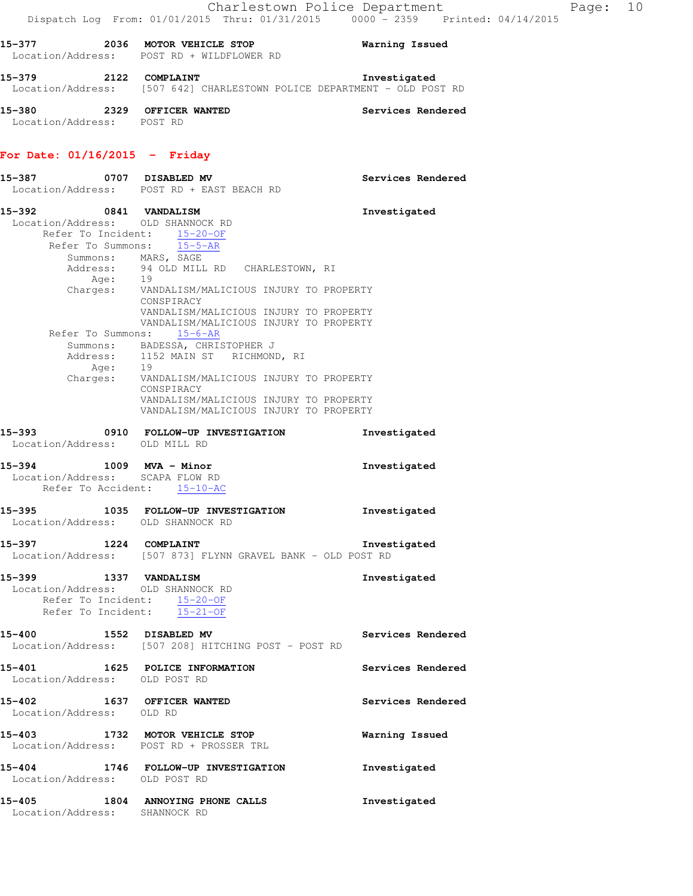| 15–379            | 2122 | COMPLAINT |                                                       |  | Investigated |  |
|-------------------|------|-----------|-------------------------------------------------------|--|--------------|--|
| Location/Address: |      |           | [507 642] CHARLESTOWN POLICE DEPARTMENT - OLD POST RD |  |              |  |

**15-380 2329 OFFICER WANTED Services Rendered**  Location/Address: POST RD

# **For Date: 01/16/2015 - Friday**

| 15–387                                  | 0707 DISABLED MV<br>Location/Address: POST RD + EAST BEACH RD                                                            | Services Rendered |
|-----------------------------------------|--------------------------------------------------------------------------------------------------------------------------|-------------------|
|                                         | 15-392 0841 VANDALISM<br>Location/Address: OLD SHANNOCK RD<br>Refer To Incident: 15-20-OF<br>Refer To Summons: 15-5-AR   | Investigated      |
|                                         | Summons: MARS, SAGE<br>Address: 94 OLD MILL RD CHARLESTOWN, RI                                                           |                   |
|                                         | Age: 19<br>Charges: VANDALISM/MALICIOUS INJURY TO PROPERTY<br>CONSPIRACY<br>VANDALISM/MALICIOUS INJURY TO PROPERTY       |                   |
|                                         | VANDALISM/MALICIOUS INJURY TO PROPERTY<br>Refer To Summons: 15-6-AR                                                      |                   |
|                                         |                                                                                                                          |                   |
|                                         | Summons: BADESSA, CHRISTOPHER J<br>Address: 1152 MAIN ST RICHMOND, RI                                                    |                   |
|                                         | Age: 19<br>Charges: VANDALISM/MALICIOUS INJURY TO PROPERTY                                                               |                   |
|                                         | CONSPIRACY<br>VANDALISM/MALICIOUS INJURY TO PROPERTY<br>VANDALISM/MALICIOUS INJURY TO PROPERTY                           |                   |
| Location/Address: OLD MILL RD           | 15-393 0910 FOLLOW-UP INVESTIGATION                                                                                      | Investigated      |
| 15-394 1009 MVA - Minor                 | Location/Address: SCAPA FLOW RD<br>Refer To Accident: 15-10-AC                                                           | Investigated      |
|                                         | 15-395 1035 FOLLOW-UP INVESTIGATION<br>Location/Address: OLD SHANNOCK RD                                                 | Investigated      |
| 15-397 1224 COMPLAINT                   | Location/Address: [507 873] FLYNN GRAVEL BANK - OLD POST RD                                                              | Investigated      |
|                                         | 15-399 1337 VANDALISM<br>Location/Address: OLD SHANNOCK RD<br>Refer To Incident: 15-20-OF<br>Refer To Incident: 15-21-OF | Investigated      |
| 15-400 1552 DISABLED MV                 | Location/Address: [507 208] HITCHING POST - POST RD                                                                      | Services Rendered |
| 15-401<br>Location/Address: OLD POST RD | 1625 POLICE INFORMATION                                                                                                  | Services Rendered |
| 15-402<br>Location/Address: OLD RD      | 1637 OFFICER WANTED                                                                                                      | Services Rendered |
|                                         | 15-403 1732 MOTOR VEHICLE STOP<br>Location/Address: POST RD + PROSSER TRL                                                | Warning Issued    |
| Location/Address: OLD POST RD           | 15-404 1746 FOLLOW-UP INVESTIGATION                                                                                      | Investigated      |
| 15-405<br>Location/Address: SHANNOCK RD | 1804 ANNOYING PHONE CALLS                                                                                                | Investigated      |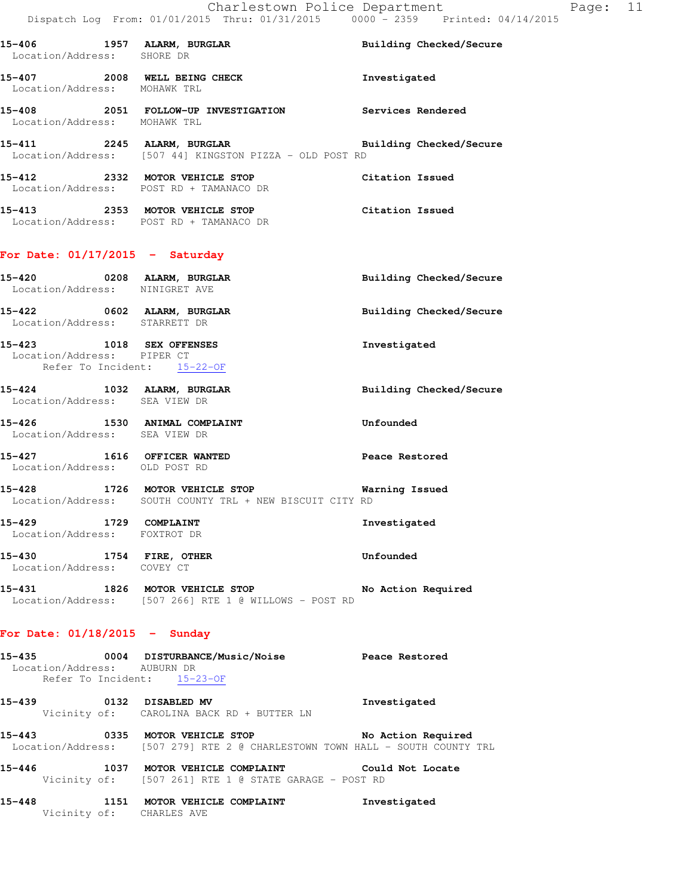| Location/Address: SHORE DR                                                            | 15-406 1957 ALARM, BURGLAR                                                                                            | Building Checked/Secure        |
|---------------------------------------------------------------------------------------|-----------------------------------------------------------------------------------------------------------------------|--------------------------------|
| Location/Address: MOHAWK TRL                                                          | 15-407 2008 WELL BEING CHECK                                                                                          | Investigated                   |
| Location/Address: MOHAWK TRL                                                          | 15-408 2051 FOLLOW-UP INVESTIGATION Services Rendered                                                                 |                                |
|                                                                                       | 15-411 2245 ALARM, BURGLAR BURGLAR Building Checked/Secure<br>Location/Address: [507 44] KINGSTON PIZZA - OLD POST RD |                                |
|                                                                                       | 15-412 2332 MOTOR VEHICLE STOP Citation Issued<br>Location/Address: POST RD + TAMANACO DR                             |                                |
|                                                                                       | 15-413 2353 MOTOR VEHICLE STOP<br>Location/Address: POST RD + TAMANACO DR                                             | Citation Issued                |
| For Date: $01/17/2015$ - Saturday                                                     |                                                                                                                       |                                |
| Location/Address: NINIGRET AVE                                                        | 15-420 0208 ALARM, BURGLAR                                                                                            | Building Checked/Secure        |
| Location/Address: STARRETT DR                                                         | 15-422 0602 ALARM, BURGLAR                                                                                            | Building Checked/Secure        |
| 15-423 1018 SEX OFFENSES<br>Location/Address: PIPER CT<br>Refer To Incident: 15-22-OF |                                                                                                                       | Investigated                   |
| 15-424 1032 ALARM, BURGLAR<br>Location/Address: SEA VIEW DR                           |                                                                                                                       | <b>Building Checked/Secure</b> |
| Location/Address: SEA VIEW DR                                                         | 15-426 1530 ANIMAL COMPLAINT                                                                                          | Unfounded                      |
| Location/Address: OLD POST RD                                                         | 15-427 1616 OFFICER WANTED                                                                                            | Peace Restored                 |
|                                                                                       | 15-428 1726 MOTOR VEHICLE STOP 6 Warning Issued<br>Location/Address: SOUTH COUNTY TRL + NEW BISCUIT CITY RD           |                                |
| 15-429 1729 COMPLAINT<br>Location/Address: FOXTROT DR                                 |                                                                                                                       | Investigated                   |
| 15-430 1754 FIRE, OTHER<br>Location/Address: COVEY CT                                 |                                                                                                                       | Unfounded                      |
|                                                                                       | 15-431 1826 MOTOR VEHICLE STOP<br>Location/Address: [507 266] RTE 1 @ WILLOWS - POST RD                               | No Action Required             |
| For Date: $01/18/2015$ - Sunday                                                       |                                                                                                                       |                                |
| Location/Address: AUBURN DR                                                           | 15-435 0004 DISTURBANCE/Music/Noise Peace Restored<br>Refer To Incident: 15-23-OF                                     |                                |
| 15-439                                                                                | 0132 DISABLED MV                                                                                                      | Investigated                   |

 Vicinity of: CAROLINA BACK RD + BUTTER LN **15-443 0335 MOTOR VEHICLE STOP No Action Required** 

Location/Address: [507 279] RTE 2 @ CHARLESTOWN TOWN HALL - SOUTH COUNTY TRL

**15-446 1037 MOTOR VEHICLE COMPLAINT Could Not Locate**  Vicinity of: [507 261] RTE 1 @ STATE GARAGE - POST RD

**15-448 1151 MOTOR VEHICLE COMPLAINT Investigated**  Vicinity of: CHARLES AVE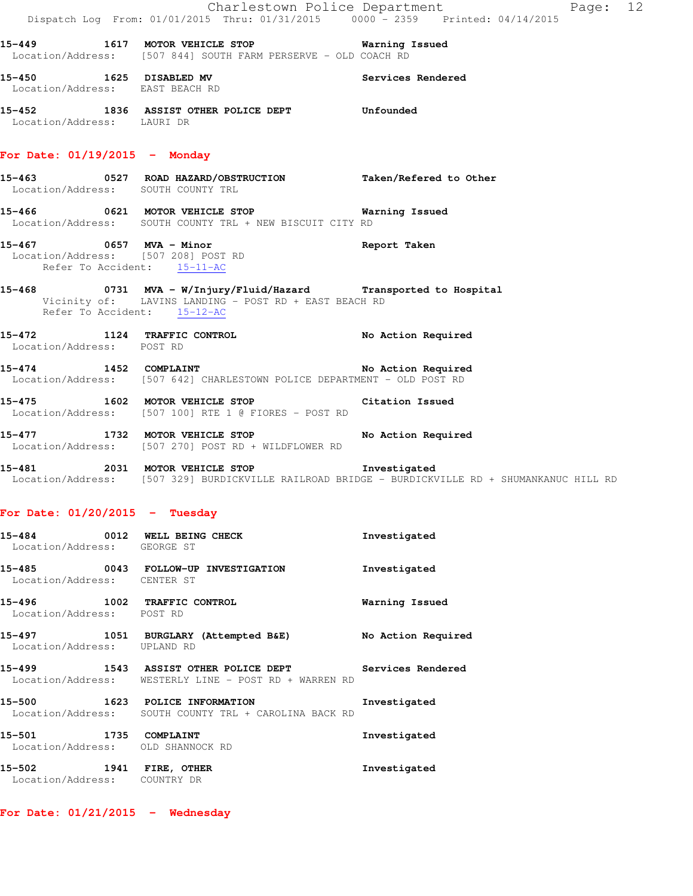|                                                        | Dispatch Log From: 01/01/2015 Thru: 01/31/2015 0000 - 2359 Printed: 04/14/2015                                                                  | Charlestown Police Department | Page: 12 |  |
|--------------------------------------------------------|-------------------------------------------------------------------------------------------------------------------------------------------------|-------------------------------|----------|--|
|                                                        | 15-449 1617 MOTOR VEHICLE STOP 6 Warning Issued<br>Location/Address: [507 844] SOUTH FARM PERSERVE - OLD COACH RD                               |                               |          |  |
| Location/Address: EAST BEACH RD                        | 15-450 1625 DISABLED MV                                                                                                                         | Services Rendered             |          |  |
| Location/Address: LAURI DR                             | 15-452 1836 ASSIST OTHER POLICE DEPT Unfounded                                                                                                  |                               |          |  |
| For Date: $01/19/2015$ - Monday                        |                                                                                                                                                 |                               |          |  |
| Location/Address: SOUTH COUNTY TRL                     | 15-463 0527 ROAD HAZARD/OBSTRUCTION Taken/Refered to Other                                                                                      |                               |          |  |
|                                                        | 15-466 0621 MOTOR VEHICLE STOP Warning Issued<br>Location/Address: SOUTH COUNTY TRL + NEW BISCUIT CITY RD                                       |                               |          |  |
| 15-467 0657 MVA - Minor<br>Refer To Accident: 15-11-AC | Location/Address: [507 208] POST RD                                                                                                             | Report Taken                  |          |  |
| Refer To Accident: 15-12-AC                            | 15-468 0731 MVA - W/Injury/Fluid/Hazard Transported to Hospital<br>Vicinity of: LAVINS LANDING - POST RD + EAST BEACH RD                        |                               |          |  |
| Location/Address: POST RD                              | 15-472 1124 TRAFFIC CONTROL No Action Required                                                                                                  |                               |          |  |
|                                                        | 15-474 1452 COMPLAINT<br>Location/Address: [507 642] CHARLESTOWN POLICE DEPARTMENT - OLD POST RD                                                | No Action Required            |          |  |
|                                                        | 15-475 1602 MOTOR VEHICLE STOP 5 Citation Issued<br>Location/Address: [507 100] RTE 1 @ FIORES - POST RD                                        |                               |          |  |
|                                                        | 15-477 1732 MOTOR VEHICLE STOP<br>Location/Address: [507 270] POST RD + WILDFLOWER RD                                                           | No Action Required            |          |  |
|                                                        | 15-481 2031 MOTOR VEHICLE STOP 1nvestigated<br>Location/Address: [507 329] BURDICKVILLE RAILROAD BRIDGE - BURDICKVILLE RD + SHUMANKANUC HILL RD |                               |          |  |
| For Date: $01/20/2015$ - Tuesday                       |                                                                                                                                                 |                               |          |  |

| 15-484<br>0012<br>Location/Address: | WELL BEING CHECK<br>GEORGE ST                                                          | Investigated       |
|-------------------------------------|----------------------------------------------------------------------------------------|--------------------|
| 15-485<br>Location/Address:         | 0043 FOLLOW-UP INVESTIGATION<br>CENTER ST                                              | Investigated       |
| 15–496<br>Location/Address: POST RD | 1002 TRAFFIC CONTROL                                                                   | Warning Issued     |
| 15-497<br>Location/Address:         | 1051 BURGLARY (Attempted B&E)<br>UPLAND RD                                             | No Action Required |
| 15–499                              | 1543 ASSIST OTHER POLICE DEPT<br>Location/Address: WESTERLY LINE - POST RD + WARREN RD | Services Rendered  |
| 15-500<br>Location/Address:         | 1623 POLICE INFORMATION<br>SOUTH COUNTY TRL + CAROLINA BACK RD                         | Investigated       |
| 15-501<br>1735<br>Location/Address: | COMPLAINT<br>OLD SHANNOCK RD                                                           | Investigated       |
| 15–502<br>1941                      | FIRE, OTHER                                                                            | Investigated       |

Location/Address: COUNTRY DR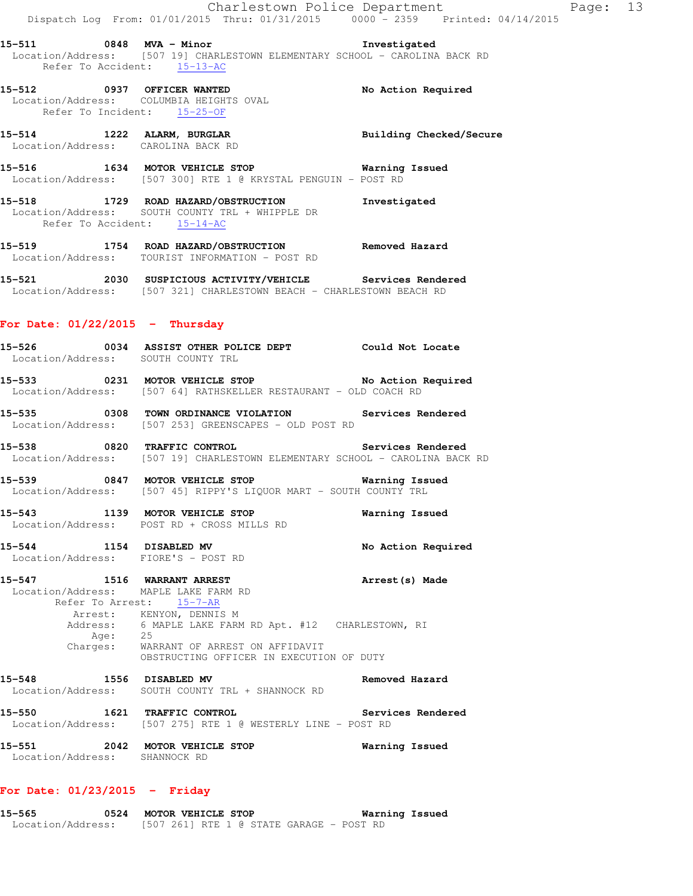**15-511 0848 MVA - Minor Investigated**  Location/Address: [507 19] CHARLESTOWN ELEMENTARY SCHOOL - CAROLINA BACK RD Refer To Accident: 15-13-AC

**15-512 0937 OFFICER WANTED No Action Required**  Location/Address: COLUMBIA HEIGHTS OVAL Refer To Incident: 15-25-OF

**15-514 1222 ALARM, BURGLAR Building Checked/Secure**  Location/Address: CAROLINA BACK RD

**15-516 1634 MOTOR VEHICLE STOP Warning Issued**  Location/Address: [507 300] RTE 1 @ KRYSTAL PENGUIN - POST RD

**15-518 1729 ROAD HAZARD/OBSTRUCTION Investigated**  Location/Address: SOUTH COUNTY TRL + WHIPPLE DR Refer To Accident: 15-14-AC

**15-519 1754 ROAD HAZARD/OBSTRUCTION Removed Hazard**  Location/Address: TOURIST INFORMATION - POST RD

**15-521 2030 SUSPICIOUS ACTIVITY/VEHICLE Services Rendered**  Location/Address: [507 321] CHARLESTOWN BEACH - CHARLESTOWN BEACH RD

#### **For Date: 01/22/2015 - Thursday**

**15-526 0034 ASSIST OTHER POLICE DEPT Could Not Locate**  Location/Address: SOUTH COUNTY TRL

**15-533 0231 MOTOR VEHICLE STOP No Action Required**  Location/Address: [507 64] RATHSKELLER RESTAURANT - OLD COACH RD

**15-535 0308 TOWN ORDINANCE VIOLATION Services Rendered**  Location/Address: [507 253] GREENSCAPES - OLD POST RD

**15-538 0820 TRAFFIC CONTROL Services Rendered**  Location/Address: [507 19] CHARLESTOWN ELEMENTARY SCHOOL - CAROLINA BACK RD

**15-539 0847 MOTOR VEHICLE STOP Warning Issued**  Location/Address: [507 45] RIPPY'S LIQUOR MART - SOUTH COUNTY TRL

**15-543 1139 MOTOR VEHICLE STOP Warning Issued**  Location/Address: POST RD + CROSS MILLS RD

**15-544 1154 DISABLED MV No Action Required**  Location/Address: FIORE'S - POST RD

**15-547 1516 WARRANT ARREST Arrest(s) Made**  Location/Address: MAPLE LAKE FARM RD Refer To Arrest: 15-7-AR Arrest: KENYON, DENNIS M Address: 6 MAPLE LAKE FARM RD Apt. #12 CHARLESTOWN, RI

 Age: 25 Charges: WARRANT OF ARREST ON AFFIDAVIT OBSTRUCTING OFFICER IN EXECUTION OF DUTY

**15-548 1556 DISABLED MV Removed Hazard**  Location/Address: SOUTH COUNTY TRL + SHANNOCK RD

**15-550 1621 TRAFFIC CONTROL Services Rendered**  Location/Address: [507 275] RTE 1 @ WESTERLY LINE - POST RD

**15-551 2042 MOTOR VEHICLE STOP Warning Issued**  Location/Address: SHANNOCK RD

#### **For Date: 01/23/2015 - Friday**

**15-565 0524 MOTOR VEHICLE STOP Warning Issued**  Location/Address: [507 261] RTE 1 @ STATE GARAGE - POST RD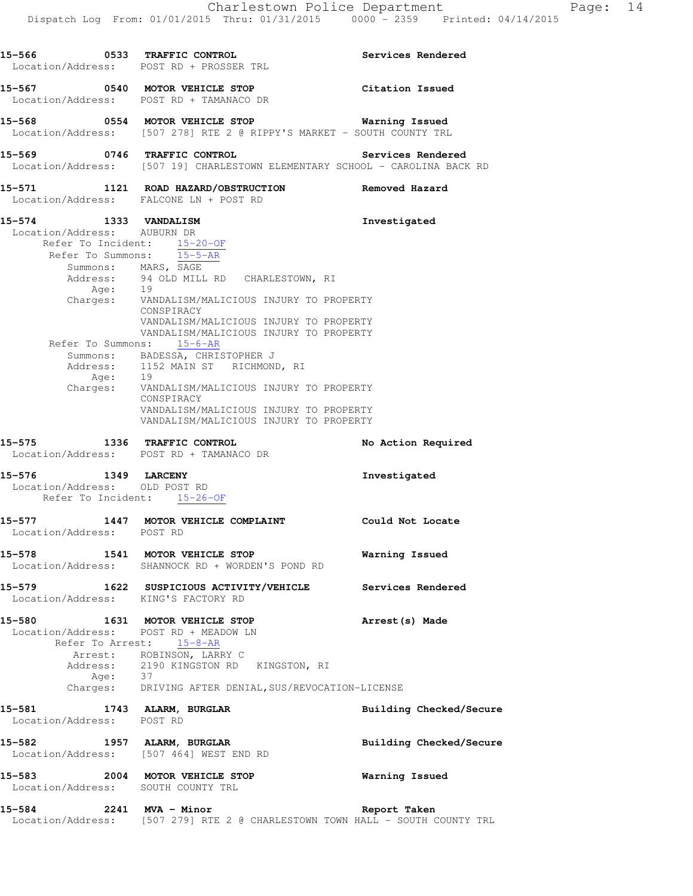|                                                      | 15-566 0533 TRAFFIC CONTROL<br>Location/Address: POST RD + PROSSER TRL                                                                                                                                                                                                                                                                                 | <b>Services Rendered</b> |
|------------------------------------------------------|--------------------------------------------------------------------------------------------------------------------------------------------------------------------------------------------------------------------------------------------------------------------------------------------------------------------------------------------------------|--------------------------|
|                                                      | 15-567 0540 MOTOR VEHICLE STOP<br>Location/Address: POST RD + TAMANACO DR                                                                                                                                                                                                                                                                              | Citation Issued          |
|                                                      | 15-568 0554 MOTOR VEHICLE STOP<br>Location/Address: [507 278] RTE 2 @ RIPPY'S MARKET - SOUTH COUNTY TRL                                                                                                                                                                                                                                                | <b>Warning Issued</b>    |
|                                                      | 15-569 0746 TRAFFIC CONTROL Services Rendered<br>Location/Address: [507 19] CHARLESTOWN ELEMENTARY SCHOOL - CAROLINA BACK RD                                                                                                                                                                                                                           |                          |
|                                                      | 15-571   1121   ROAD HAZARD/OBSTRUCTION   Removed Hazard<br>Location/Address: FALCONE LN + POST RD                                                                                                                                                                                                                                                     |                          |
| 15-574 1333 VANDALISM<br>Location/Address: AUBURN DR | Refer To Incident: 15-20-OF<br>Refer To Summons: $15-5-AR$<br>Summons: MARS, SAGE<br>Address: 94 OLD MILL RD CHARLESTOWN, RI<br>Age: 19<br>Charges: VANDALISM/MALICIOUS INJURY TO PROPERTY<br>CONSPIRACY                                                                                                                                               | Investigated             |
|                                                      | VANDALISM/MALICIOUS INJURY TO PROPERTY<br>VANDALISM/MALICIOUS INJURY TO PROPERTY<br>Refer To Summons: 15-6-AR<br>Summons: BADESSA, CHRISTOPHER J<br>Address: 1152 MAIN ST RICHMOND, RI<br>Age: 19<br>Charges: VANDALISM/MALICIOUS INJURY TO PROPERTY<br>CONSPIRACY<br>VANDALISM/MALICIOUS INJURY TO PROPERTY<br>VANDALISM/MALICIOUS INJURY TO PROPERTY |                          |
|                                                      | 15-575 1336 TRAFFIC CONTROL<br>Location/Address: POST RD + TAMANACO DR                                                                                                                                                                                                                                                                                 | No Action Required       |
| 15-576 1349 LARCENY<br>Location/Address: OLD POST RD | Refer To Incident: 15-26-OF                                                                                                                                                                                                                                                                                                                            | Investigated             |
| Location/Address: POST RD                            | 15-577 1447 MOTOR VEHICLE COMPLAINT Could Not Locate                                                                                                                                                                                                                                                                                                   |                          |
|                                                      | 15-578 1541 MOTOR VEHICLE STOP<br>Location/Address: SHANNOCK RD + WORDEN'S POND RD                                                                                                                                                                                                                                                                     | Warning Issued           |
| Location/Address: KING'S FACTORY RD                  | 15-579 1622 SUSPICIOUS ACTIVITY/VEHICLE Services Rendered                                                                                                                                                                                                                                                                                              |                          |
| 15-580                                               | 1631 MOTOR VEHICLE STOP<br>Location/Address: POST RD + MEADOW LN<br>Refer To Arrest: 15-8-AR<br>Arrest: ROBINSON, LARRY C<br>Address: 2190 KINGSTON RD KINGSTON, RI<br>Age: 37<br>Charges: DRIVING AFTER DENIAL, SUS/REVOCATION-LICENSE                                                                                                                | Arrest (s) Made          |
| 15-581<br>Location/Address: POST RD                  | 1743 ALARM, BURGLAR                                                                                                                                                                                                                                                                                                                                    | Building Checked/Secure  |
| 15-582                                               | 1957 ALARM, BURGLAR<br>Location/Address: [507 464] WEST END RD                                                                                                                                                                                                                                                                                         | Building Checked/Secure  |
| 15-583<br>Location/Address: SOUTH COUNTY TRL         | 2004 MOTOR VEHICLE STOP                                                                                                                                                                                                                                                                                                                                | Warning Issued           |
|                                                      |                                                                                                                                                                                                                                                                                                                                                        |                          |

Location/Address: [507 279] RTE 2 @ CHARLESTOWN TOWN HALL - SOUTH COUNTY TRL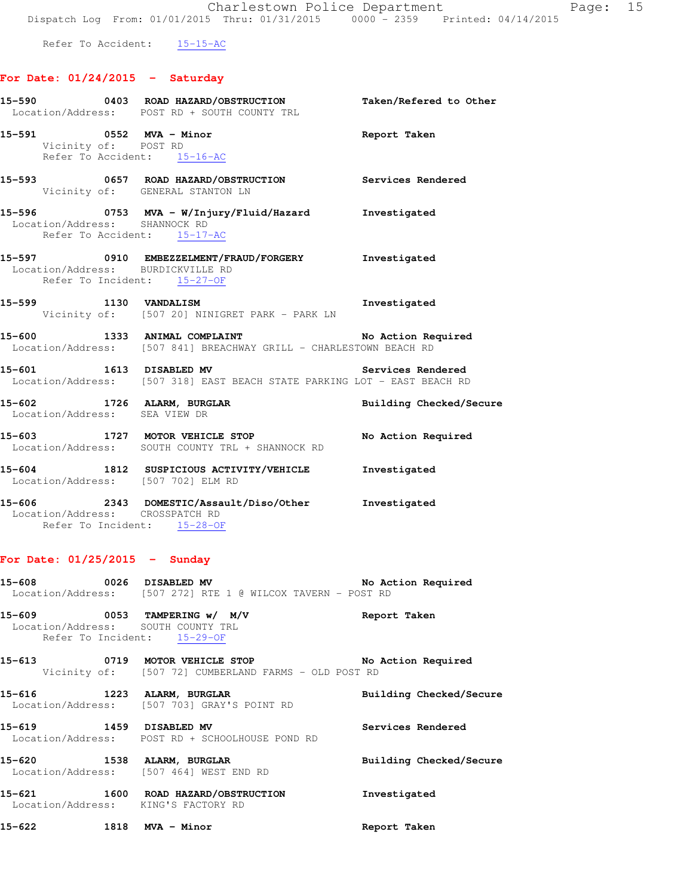Refer To Accident: 15-15-AC

#### **For Date: 01/24/2015 - Saturday**

|                                                                                                   | 15-590 0403 ROAD HAZARD/OBSTRUCTION Taken/Refered to Other<br>Location/Address: POST RD + SOUTH COUNTY TRL            |                         |
|---------------------------------------------------------------------------------------------------|-----------------------------------------------------------------------------------------------------------------------|-------------------------|
| Vicinity of: POST RD<br>Refer To Accident: 15-16-AC                                               | 15-591 0552 MVA - Minor Changes of the Report Taken                                                                   |                         |
|                                                                                                   | 15-593 0657 ROAD HAZARD/OBSTRUCTION Services Rendered<br>Vicinity of: GENERAL STANTON LN                              |                         |
| Location/Address: SHANNOCK RD<br>Refer To Accident: 15-17-AC                                      | 15-596 		 0753 MVA - W/Injury/Fluid/Hazard 		 Investigated                                                            |                         |
| Location/Address: BURDICKVILLE RD<br>Refer To Incident: 15-27-OF                                  | 15-597 0910 EMBEZZELMENT/FRAUD/FORGERY Investigated                                                                   |                         |
|                                                                                                   | 15-599 1130 VANDALISM<br>Vicinity of: [507 20] NINIGRET PARK - PARK LN                                                | Investigated            |
|                                                                                                   | 15-600 1333 ANIMAL COMPLAINT No Action Required<br>Location/Address: [507 841] BREACHWAY GRILL - CHARLESTOWN BEACH RD |                         |
|                                                                                                   | 15-601 1613 DISABLED MV 3ervices Rendered<br>Location/Address: [507 318] EAST BEACH STATE PARKING LOT - EAST BEACH RD |                         |
|                                                                                                   | 15-602 1726 ALARM, BURGLAR BURGLAR Building Checked/Secure<br>Location/Address: SEA VIEW DR                           |                         |
|                                                                                                   | 15-603 1727 MOTOR VEHICLE STOP No Action Required<br>Location/Address: SOUTH COUNTY TRL + SHANNOCK RD                 |                         |
| Location/Address: [507 702] ELM RD                                                                | 15-604 1812 SUSPICIOUS ACTIVITY/VEHICLE 1nvestigated                                                                  |                         |
| Location/Address: CROSSPATCH RD<br>Refer To Incident: 15-28-OF                                    | 15-606 2343 DOMESTIC/Assault/Diso/Other Investigated                                                                  |                         |
| For Date: $01/25/2015$ - Sunday                                                                   |                                                                                                                       |                         |
|                                                                                                   | 15-608 0026 DISABLED MV <b>No Action Required</b><br>Location/Address: [507 272] RTE 1 @ WILCOX TAVERN - POST RD      |                         |
| 15-609 0053 TAMPERING w/ M/V<br>Location/Address: SOUTH COUNTY TRL<br>Refer To Incident: 15-29-OF |                                                                                                                       | Report Taken            |
| 15-613 0719 MOTOR VEHICLE STOP                                                                    | Vicinity of: [507 72] CUMBERLAND FARMS - OLD POST RD                                                                  | No Action Required      |
| 15-616 1223 ALARM, BURGLAR                                                                        | Location/Address: [507 703] GRAY'S POINT RD                                                                           | Building Checked/Secure |

**15-619 1459 DISABLED MV Services Rendered**  Location/Address: POST RD + SCHOOLHOUSE POND RD **15-620 1538 ALARM, BURGLAR Building Checked/Secure** 

**15-621 1600 ROAD HAZARD/OBSTRUCTION Investigated**  Location/Address: KING'S FACTORY RD

**15-622 1818 MVA - Minor Report Taken** 

Location/Address: [507 464] WEST END RD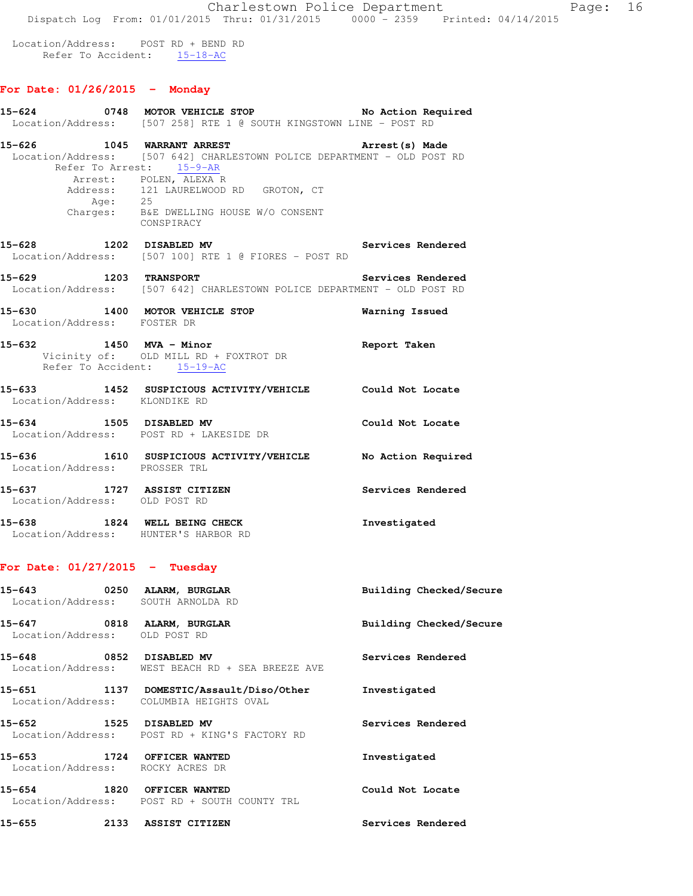Location/Address: POST RD + BEND RD Refer To Accident: 15-18-AC

## **For Date: 01/26/2015 - Monday**

|                                                                  | Location/Address: [507 258] RTE 1 @ SOUTH KINGSTOWN LINE - POST RD                                                                                                                                                                                                |                         |
|------------------------------------------------------------------|-------------------------------------------------------------------------------------------------------------------------------------------------------------------------------------------------------------------------------------------------------------------|-------------------------|
| 15-626                                                           | 1045 WARRANT ARREST<br>Location/Address: [507 642] CHARLESTOWN POLICE DEPARTMENT - OLD POST RD<br>Refer To Arrest: 15-9-AR<br>Arrest: POLEN, ALEXA R<br>Address: 121 LAURELWOOD RD GROTON, CT<br>Age: 25<br>Charges: B&E DWELLING HOUSE W/O CONSENT<br>CONSPIRACY | Arrest(s) Made          |
|                                                                  | 15-628 1202 DISABLED MV Services Rendered<br>Location/Address: [507 100] RTE 1 @ FIORES - POST RD                                                                                                                                                                 |                         |
| 15-629 1203 TRANSPORT                                            | Location/Address: [507 642] CHARLESTOWN POLICE DEPARTMENT - OLD POST RD                                                                                                                                                                                           | Services Rendered       |
| Location/Address: FOSTER DR                                      | 15-630 1400 MOTOR VEHICLE STOP                                                                                                                                                                                                                                    | Warning Issued          |
| 15-632 1450 MVA - Minor<br>Refer To Accident: 15-19-AC           | Vicinity of: OLD MILL RD + FOXTROT DR                                                                                                                                                                                                                             | Report Taken            |
| Location/Address: KLONDIKE RD                                    | 15-633 1452 SUSPICIOUS ACTIVITY/VEHICLE Could Not Locate                                                                                                                                                                                                          |                         |
| 15-634 1505 DISABLED MV                                          | Location/Address: POST RD + LAKESIDE DR                                                                                                                                                                                                                           | Could Not Locate        |
| Location/Address: PROSSER TRL                                    | 15-636 1610 SUSPICIOUS ACTIVITY/VEHICLE No Action Required                                                                                                                                                                                                        |                         |
| 15-637 1727 ASSIST CITIZEN<br>Location/Address: OLD POST RD      |                                                                                                                                                                                                                                                                   | Services Rendered       |
| Location/Address: HUNTER'S HARBOR RD                             | 15-638 1824 WELL BEING CHECK                                                                                                                                                                                                                                      | Investigated            |
| For Date: $01/27/2015$ - Tuesday                                 |                                                                                                                                                                                                                                                                   |                         |
| 15-643 0250 ALARM, BURGLAR<br>Location/Address: SOUTH ARNOLDA RD |                                                                                                                                                                                                                                                                   | Building Checked/Secure |
| 15-647<br>Location/Address: OLD POST RD                          | 0818 ALARM, BURGLAR                                                                                                                                                                                                                                               | Building Checked/Secure |
| 15-648 0852 DISABLED MV                                          | Location/Address: WEST BEACH RD + SEA BREEZE AVE                                                                                                                                                                                                                  | Services Rendered       |
|                                                                  | 15-651 1137 DOMESTIC/Assault/Diso/Other Investigated<br>Location/Address: COLUMBIA HEIGHTS OVAL                                                                                                                                                                   |                         |
| 15-652<br>1525 DISABLED MV                                       | Location/Address: POST RD + KING'S FACTORY RD                                                                                                                                                                                                                     | Services Rendered       |
| 15-653 1724 OFFICER WANTED<br>Location/Address: ROCKY ACRES DR   |                                                                                                                                                                                                                                                                   | Investigated            |
| 15-654 1820 OFFICER WANTED                                       | Location/Address: POST RD + SOUTH COUNTY TRL                                                                                                                                                                                                                      | Could Not Locate        |
| 15-655 2133 ASSIST CITIZEN                                       |                                                                                                                                                                                                                                                                   | Services Rendered       |

**15-624 0748 MOTOR VEHICLE STOP No Action Required**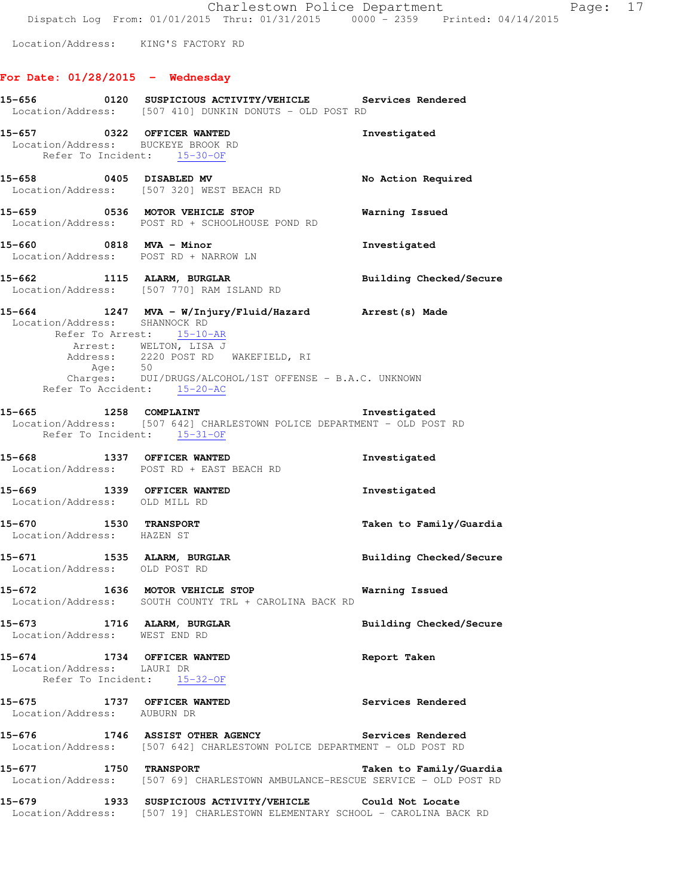Location/Address: KING'S FACTORY RD

# **For Date: 01/28/2015 - Wednesday**

|                                                                                                 | 15-656 6120 SUSPICIOUS ACTIVITY/VEHICLE Services Rendered<br>Location/Address: [507 410] DUNKIN DONUTS - OLD POST RD                                                                                                       |                                |
|-------------------------------------------------------------------------------------------------|----------------------------------------------------------------------------------------------------------------------------------------------------------------------------------------------------------------------------|--------------------------------|
| 15-657 0322 OFFICER WANTED<br>Location/Address: BUCKEYE BROOK RD<br>Refer To Incident: 15-30-OF |                                                                                                                                                                                                                            | Investigated                   |
|                                                                                                 | 15-658 0405 DISABLED MV<br>Location/Address: [507 320] WEST BEACH RD                                                                                                                                                       | No Action Required             |
|                                                                                                 | 15-659 0536 MOTOR VEHICLE STOP<br>Location/Address: POST RD + SCHOOLHOUSE POND RD                                                                                                                                          | <b>Warning Issued</b>          |
|                                                                                                 | 15-660 0818 MVA - Minor<br>Location/Address: POST RD + NARROW LN                                                                                                                                                           | Investigated                   |
|                                                                                                 | 15-662 1115 ALARM, BURGLAR<br>Location/Address: [507 770] RAM ISLAND RD                                                                                                                                                    | Building Checked/Secure        |
| Location/Address: SHANNOCK RD<br>Refer To Accident: 15-20-AC                                    | 15-664 1247 MVA - W/Injury/Fluid/Hazard Arrest(s) Made<br>Refer To Arrest: 15-10-AR<br>Arrest: WELTON, LISA J<br>Address: 2220 POST RD WAKEFIELD, RI<br>Age: 50<br>Charges: DUI/DRUGS/ALCOHOL/1ST OFFENSE - B.A.C. UNKNOWN |                                |
| Refer To Incident: 15-31-OF                                                                     | Location/Address: [507 642] CHARLESTOWN POLICE DEPARTMENT - OLD POST RD                                                                                                                                                    |                                |
|                                                                                                 | 15-668 1337 OFFICER WANTED<br>Location/Address: POST RD + EAST BEACH RD                                                                                                                                                    | Investigated                   |
| 15-669 1339 OFFICER WANTED<br>Location/Address: OLD MILL RD                                     |                                                                                                                                                                                                                            | Investigated                   |
| 15-670 1530 TRANSPORT<br>Location/Address: HAZEN ST                                             |                                                                                                                                                                                                                            | Taken to Family/Guardia        |
| Location/Address: OLD POST RD                                                                   | 15-671 1535 ALARM, BURGLAR                                                                                                                                                                                                 | <b>Building Checked/Secure</b> |
|                                                                                                 | 15-672 1636 MOTOR VEHICLE STOP<br>Location/Address: SOUTH COUNTY TRL + CAROLINA BACK RD                                                                                                                                    | Warning Issued                 |
| 15-673 1716 ALARM, BURGLAR<br>Location/Address: WEST END RD                                     |                                                                                                                                                                                                                            | Building Checked/Secure        |
| 15-674 1734 OFFICER WANTED<br>Location/Address: LAURI DR                                        | Refer To Incident: 15-32-OF                                                                                                                                                                                                | Report Taken                   |
| 15-675 1737 OFFICER WANTED<br>Location/Address: AUBURN DR                                       |                                                                                                                                                                                                                            | Services Rendered              |
| 15-676                                                                                          | 1746 ASSIST OTHER AGENCY<br>Location/Address: [507 642] CHARLESTOWN POLICE DEPARTMENT - OLD POST RD                                                                                                                        | Services Rendered              |
|                                                                                                 | 15-677 1750 TRANSPORT Taken to Family/Guardia<br>Location/Address: [507 69] CHARLESTOWN AMBULANCE-RESCUE SERVICE - OLD POST RD                                                                                             | Taken to Family/Guardia        |
|                                                                                                 | 15-679 1933 SUSPICIOUS ACTIVITY/VEHICLE Could Not Locate<br>Location/Address: [507 19] CHARLESTOWN ELEMENTARY SCHOOL - CAROLINA BACK RD                                                                                    |                                |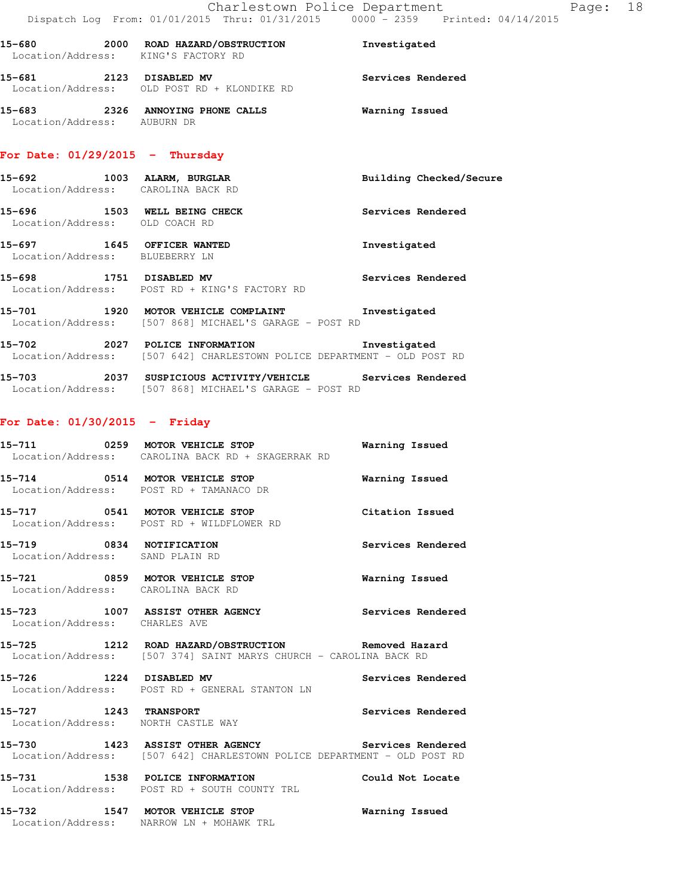| 15-680                                | 2000 | ROAD HAZARD/OBSTRUCTION<br>Location/Address: KING'S FACTORY RD | Investigated      |
|---------------------------------------|------|----------------------------------------------------------------|-------------------|
| 15-681                                | 2123 | DISABLED MV<br>Location/Address: OLD POST RD + KLONDIKE RD     | Services Rendered |
| 15-683<br>Location/Address: AUBURN DR | 2326 | ANNOYING PHONE CALLS                                           | Warning Issued    |

## **For Date: 01/29/2015 - Thursday**

| 15–692<br>Location/Address: | 1003 | ALARM, BURGLAR<br>CAROLINA BACK RD                              | Building Checked/Secure |
|-----------------------------|------|-----------------------------------------------------------------|-------------------------|
| 15–696<br>Location/Address: | 1503 | WELL BEING CHECK<br>OLD COACH RD                                | Services Rendered       |
| 15–697<br>Location/Address: | 1645 | OFFICER WANTED<br>BLUEBERRY LN                                  | Investigated            |
| 15-698                      | 1751 | DISABLED MV<br>Location/Address: POST RD + KING'S FACTORY RD    | Services Rendered       |
| 15-701<br>Location/Address: | 1920 | MOTOR VEHICLE COMPLAINT<br>[507 868] MICHAEL'S GARAGE – POST RD | Investigated            |

**15-702 2027 POLICE INFORMATION Investigated**  Location/Address: [507 642] CHARLESTOWN POLICE DEPARTMENT - OLD POST RD

**15-703 2037 SUSPICIOUS ACTIVITY/VEHICLE Services Rendered**  Location/Address: [507 868] MICHAEL'S GARAGE - POST RD

# **For Date: 01/30/2015 - Friday**

|                                                             | 15-711 0259 MOTOR VEHICLE STOP<br>Location/Address: CAROLINA BACK RD + SKAGERRAK RD                                          | Warning Issued           |
|-------------------------------------------------------------|------------------------------------------------------------------------------------------------------------------------------|--------------------------|
|                                                             | 15-714 0514 MOTOR VEHICLE STOP<br>Location/Address: POST RD + TAMANACO DR                                                    | Warning Issued           |
|                                                             | 15-717 0541 MOTOR VEHICLE STOP<br>Location/Address: POST RD + WILDFLOWER RD                                                  | Citation Issued          |
| 15-719 0834 NOTIFICATION<br>Location/Address: SAND PLAIN RD |                                                                                                                              | <b>Services Rendered</b> |
|                                                             | 15-721 0859 MOTOR VEHICLE STOP<br>Location/Address: CAROLINA BACK RD                                                         | Warning Issued           |
| Location/Address: CHARLES AVE                               | 15-723 1007 ASSIST OTHER AGENCY                                                                                              | Services Rendered        |
|                                                             | 15-725 1212 ROAD HAZARD/OBSTRUCTION Removed Hazard<br>Location/Address: [507 374] SAINT MARYS CHURCH - CAROLINA BACK RD      |                          |
|                                                             | 15-726 1224 DISABLED MV <b>Services Rendered</b><br>Location/Address: POST RD + GENERAL STANTON LN                           |                          |
| 15-727 1243 TRANSPORT                                       | Location/Address: NORTH CASTLE WAY                                                                                           | Services Rendered        |
|                                                             | 15-730 1423 ASSIST OTHER AGENCY Services Rendered<br>Location/Address: [507 642] CHARLESTOWN POLICE DEPARTMENT - OLD POST RD |                          |
|                                                             | 15-731 1538 POLICE INFORMATION Could Not Locate<br>Location/Address: POST RD + SOUTH COUNTY TRL                              |                          |
| .                                                           |                                                                                                                              |                          |

**15-732 1547 MOTOR VEHICLE STOP Warning Issued**  Location/Address: NARROW LN + MOHAWK TRL